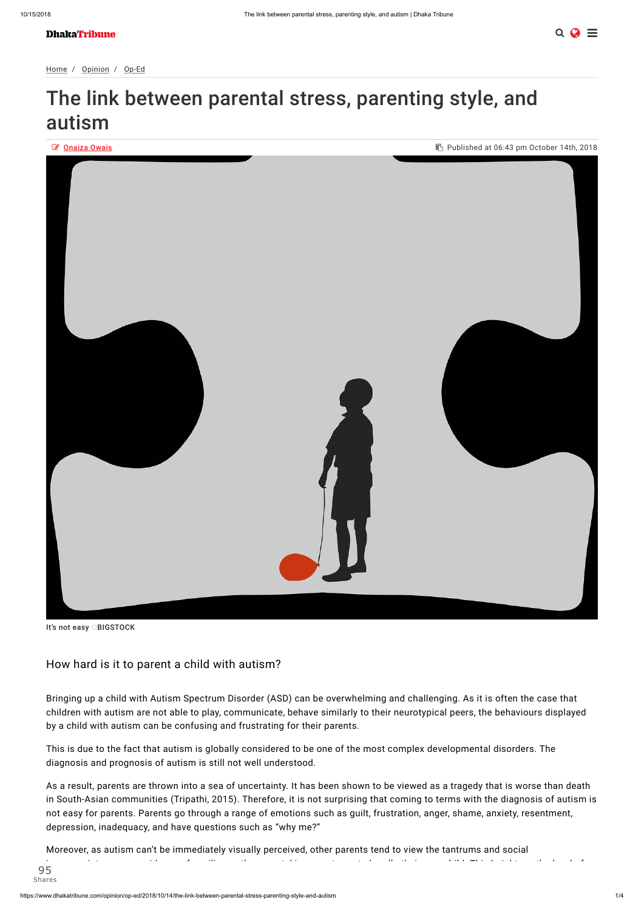# The link between parental stress, parenting style, and autism



It's not easy □BIGSTOCK

Bringing up a child with Autism Spectrum Disorder (ASD) can be overwhelming and challenging. As it is often the case that children with autism are not able to play, communicate, behave similarly to their neurotypical peers, the behaviours displayed by a child with autism can be confusing and frustrating for their parents.

This is due to the fact that autism is globally considered to be one of the most complex developmental disorders. The diagnosis and prognosis of autism is still not well understood.

As a result, parents are thrown into a sea of uncertainty. It has been shown to be viewed as a tragedy that is worse than death in South-Asian communities (Tripathi, 2015). Therefore, it is not surprising that coming to terms with the diagnosis of autism is not easy for parents. Parents go through a range of emotions such as guilt, frustration, anger, shame, anxiety, resentment, depression, inadequacy, and have questions such as "why me?"

Moreover, as autism can't be immediately visually perceived, other parents tend to view the tantrums and social

inappropriateness as evidence of spoiling or the parents' incompetency to handle their own child. This heightens the level of parental stress. In addition to social pressures, the limited knowledge and interventions for ASD in Bangladesh increase the limited knowledge and interventions for ASD in Bangladesh increase the ASD in Bangladesh increase 95 Shares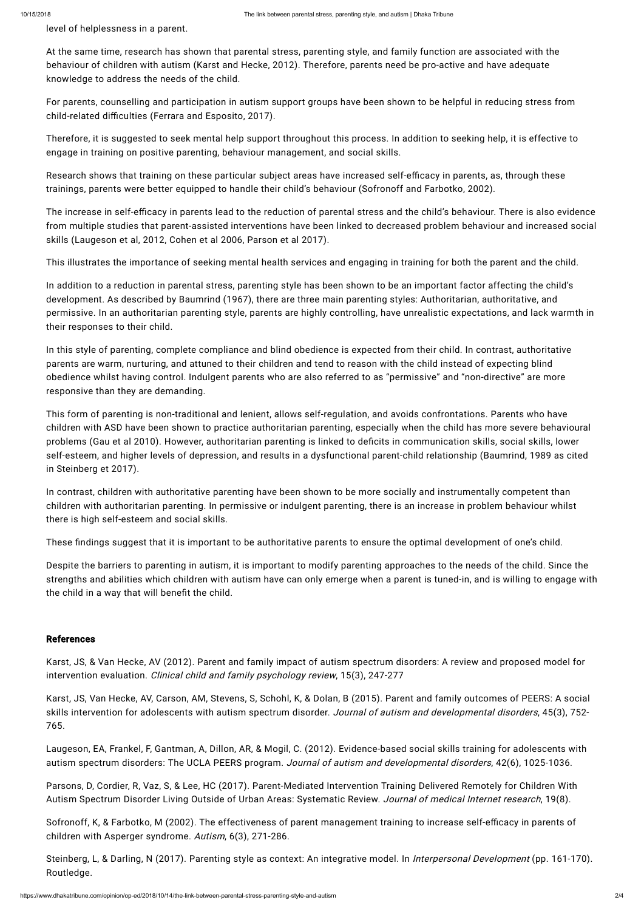level of helplessness in a parent.

For parents, counselling and participation in autism support groups have been shown to be helpful in reducing stress from child-related difficulties (Ferrara and Esposito, 2017).

At the same time, research has shown that parental stress, parenting style, and family function are associated with the behaviour of children with autism (Karst and Hecke, 2012). Therefore, parents need be pro-active and have adequate knowledge to address the needs of the child.

Research shows that training on these particular subject areas have increased self-efficacy in parents, as, through these trainings, parents were better equipped to handle their child's behaviour (Sofronoff and Farbotko, 2002).

The increase in self-efficacy in parents lead to the reduction of parental stress and the child's behaviour. There is also evidence from multiple studies that parent-assisted interventions have been linked to decreased problem behaviour and increased social skills (Laugeson et al, 2012, Cohen et al 2006, Parson et al 2017).

Therefore, it is suggested to seek mental help support throughout this process. In addition to seeking help, it is effective to engage in training on positive parenting, behaviour management, and social skills.

This illustrates the importance of seeking mental health services and engaging in training for both the parent and the child.

Despite the barriers to parenting in autism, it is important to modify parenting approaches to the needs of the child. Since the strengths and abilities which children with autism have can only emerge when a parent is tuned-in, and is willing to engage with the child in a way that will benefit the child.

In addition to a reduction in parental stress, parenting style has been shown to be an important factor affecting the child's development. As described by Baumrind (1967), there are three main parenting styles: Authoritarian, authoritative, and permissive. In an authoritarian parenting style, parents are highly controlling, have unrealistic expectations, and lack warmth in their responses to their child.

Laugeson, EA, Frankel, F, Gantman, A, Dillon, AR, & Mogil, C. (2012). Evidence-based social skills training for adolescents with autism spectrum disorders: The UCLA PEERS program. Journal of autism and developmental disorders, 42(6), 1025-1036.

Parsons, D, Cordier, R, Vaz, S, & Lee, HC (2017). Parent-Mediated Intervention Training Delivered Remotely for Children With Autism Spectrum Disorder Living Outside of Urban Areas: Systematic Review. Journal of medical Internet research, 19(8).

In this style of parenting, complete compliance and blind obedience is expected from their child. In contrast, authoritative parents are warm, nurturing, and attuned to their children and tend to reason with the child instead of expecting blind obedience whilst having control. Indulgent parents who are also referred to as "permissive" and "non-directive" are more responsive than they are demanding.

Sofronoff, K, & Farbotko, M (2002). The effectiveness of parent management training to increase self-efficacy in parents of children with Asperger syndrome. Autism, 6(3), 271-286.

Steinberg, L, & Darling, N (2017). Parenting style as context: An integrative model. In *Interpersonal Development* (pp. 161-170). Routledge.

This form of parenting is non-traditional and lenient, allows self-regulation, and avoids confrontations. Parents who have children with ASD have been shown to practice authoritarian parenting, especially when the child has more severe behavioural problems (Gau et al 2010). However, authoritarian parenting is linked to deficits in communication skills, social skills, lower self-esteem, and higher levels of depression, and results in a dysfunctional parent-child relationship (Baumrind, 1989 as cited in Steinberg et 2017).

In contrast, children with authoritative parenting have been shown to be more socially and instrumentally competent than children with authoritarian parenting. In permissive or indulgent parenting, there is an increase in problem behaviour whilst there is high self-esteem and social skills.

These findings suggest that it is important to be authoritative parents to ensure the optimal development of one's child.

# References

Karst, JS, & Van Hecke, AV (2012). Parent and family impact of autism spectrum disorders: A review and proposed model for intervention evaluation. Clinical child and family psychology review, 15(3), 247-277

Karst, JS, Van Hecke, AV, Carson, AM, Stevens, S, Schohl, K, & Dolan, B (2015). Parent and family outcomes of PEERS: A social skills intervention for adolescents with autism spectrum disorder. Journal of autism and developmental disorders, 45(3), 752-765.